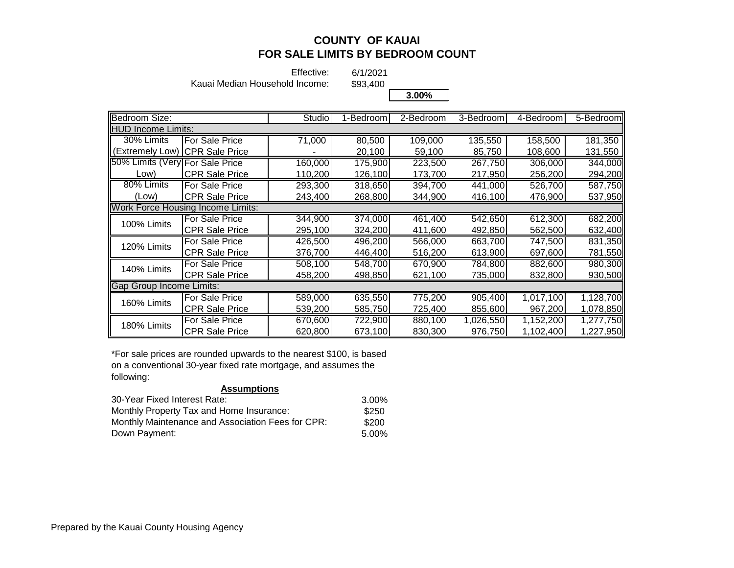Effective:

6/1/2021

Kauai Median Household Income:

\$93,400

**3.00%**

| Bedroom Size:                   |                                          | Studio  | 1-Bedroom | 2-Bedroom | 3-Bedroom            | 4-Bedroom | 5-Bedroom         |
|---------------------------------|------------------------------------------|---------|-----------|-----------|----------------------|-----------|-------------------|
| <b>HUD Income Limits:</b>       |                                          |         |           |           |                      |           |                   |
| 30% Limits                      | <b>For Sale Price</b>                    | 71,000  | 80,500    | 109,000   | 135,550              | 158,500   | 181,350           |
|                                 | (Extremely Low) ICPR Sale Price          |         | 20,100    | 59,100    | 85,750               | 108,600   | 131,550           |
| 50% Limits (Very For Sale Price |                                          | 160,000 | 175,900   | 223,500   | $\overline{267,}750$ | 306,000   | 344,000           |
| _ow)                            | <b>CPR Sale Price</b>                    | 110,200 | 126,100   | 173,700   | 217,950              | 256,200   | 294,200           |
| 80% Limits                      | For Sale Price                           | 293,300 | 318,650   | 394,700   | 441,000              | 526,700   | 587,750           |
| (Low)                           | <b>CPR Sale Price</b>                    | 243,400 | 268,800   | 344,900   | 416,100              | 476,900   | 537,950           |
|                                 | <b>Work Force Housing Income Limits:</b> |         |           |           |                      |           |                   |
| 100% Limits                     | <b>For Sale Price</b>                    | 344,900 | 374,000   | 461,400   | 542,650              | 612,300   | 682,200           |
|                                 | <b>CPR Sale Price</b>                    | 295,100 | 324,200   | 411,600   | 492,850              | 562,500   | 632,400           |
| 120% Limits                     | For Sale Price                           | 426,500 | 496,200   | 566,000   | 663,700              | 747,500   | 831,350           |
|                                 | <b>CPR Sale Price</b>                    | 376,700 | 446,400   | 516,200   | 613,900              | 697,600   | 781,550 <b>  </b> |
| 140% Limits                     | For Sale Price                           | 508,100 | 548,700   | 670,900   | 784,800              | 882,600   | 980,300           |
|                                 | <b>CPR Sale Price</b>                    | 458,200 | 498,850   | 621,100   | 735,000              | 832,800   | 930,500           |
| <b>Gap Group Income Limits:</b> |                                          |         |           |           |                      |           |                   |
| 160% Limits                     | <b>For Sale Price</b>                    | 589,000 | 635,550   | 775,200   | 905,400              | 1,017,100 | 1,128,700         |
|                                 | <b>CPR Sale Price</b>                    | 539,200 | 585,750   | 725,400   | 855,600              | 967,200   | 1,078,850         |
| 180% Limits                     | For Sale Price                           | 670,600 | 722,900   | 880,100   | 1,026,550            | 1,152,200 | 1,277,750         |
|                                 | <b>CPR Sale Price</b>                    | 620,800 | 673,100   | 830,300   | 976,750              | 1,102,400 | 1,227,950         |

\*For sale prices are rounded upwards to the nearest \$100, is based on a conventional 30-year fixed rate mortgage, and assumes the following:

| <b>Assumptions</b>                                |          |
|---------------------------------------------------|----------|
| 30-Year Fixed Interest Rate:                      | 3.00%    |
| Monthly Property Tax and Home Insurance:          | \$250    |
| Monthly Maintenance and Association Fees for CPR: | \$200    |
| Down Payment:                                     | $5.00\%$ |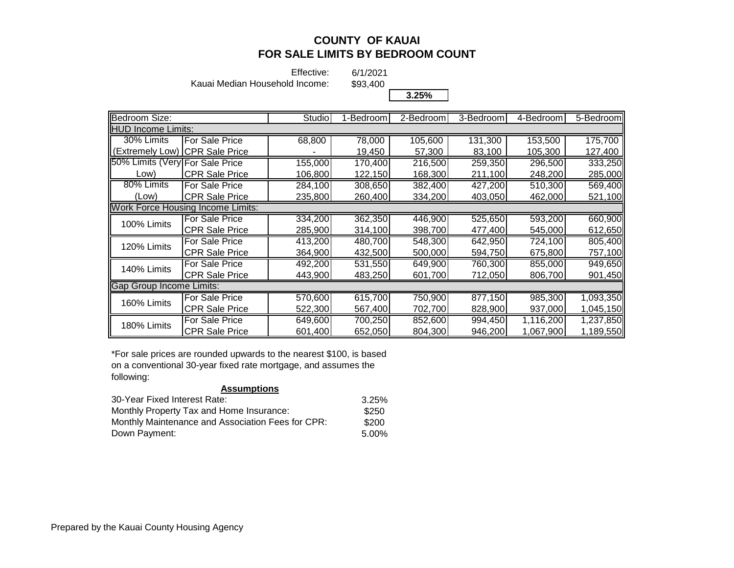Effective:

6/1/2021

Kauai Median Household Income:

\$93,400

**3.25%**

| Bedroom Size:                   |                                          | Studio  | 1-Bedroom | 2-Bedrooml | 3-Bedroom | 4-Bedroom | 5-Bedroom |
|---------------------------------|------------------------------------------|---------|-----------|------------|-----------|-----------|-----------|
| <b>IIHUD Income Limits:</b>     |                                          |         |           |            |           |           |           |
| 30% Limits                      | For Sale Price                           | 68,800  | 78,000    | 105,600    | 131,300   | 153,500   | 175,700   |
| (Extremely Low)                 | <b>CPR Sale Price</b>                    |         | 19,450    | 57,300     | 83,100    | 105,300   | 127,400   |
| 50% Limits (Very For Sale Price |                                          | 155,000 | 170,400   | 216,500    | 259,350   | 296,500   | 333,250   |
| Low)                            | <b>CPR Sale Price</b>                    | 106,800 | 122,150   | 168,300    | 211,100   | 248,200   | 285,000   |
| 80% Limits                      | For Sale Price                           | 284,100 | 308,650   | 382,400    | 427,200   | 510,300   | 569,400   |
| (Low)                           | <b>CPR Sale Price</b>                    | 235,800 | 260,400   | 334,200    | 403,050   | 462,000   | 521,100   |
|                                 | <b>Work Force Housing Income Limits:</b> |         |           |            |           |           |           |
| 100% Limits                     | For Sale Price                           | 334,200 | 362,350   | 446,900    | 525,650   | 593,200   | 660,900   |
|                                 | <b>CPR Sale Price</b>                    | 285,900 | 314,100   | 398,700    | 477,400   | 545,000   | 612,650   |
| 120% Limits                     | For Sale Price                           | 413,200 | 480,700   | 548,300    | 642,950   | 724.100   | 805,400   |
|                                 | <b>CPR Sale Price</b>                    | 364,900 | 432,500   | 500,000    | 594,750   | 675,800   | 757,100   |
| 140% Limits                     | For Sale Price                           | 492,200 | 531,550   | 649,900    | 760,300   | 855,000   | 949,650   |
|                                 | <b>CPR Sale Price</b>                    | 443,900 | 483,250   | 601,700    | 712,050   | 806,700   | 901,450   |
| <b>Gap Group Income Limits:</b> |                                          |         |           |            |           |           |           |
| 160% Limits                     | For Sale Price                           | 570,600 | 615,700   | 750,900    | 877,150   | 985,300   | 1,093,350 |
|                                 | <b>CPR Sale Price</b>                    | 522,300 | 567,400   | 702,700    | 828,900   | 937,000   | 1,045,150 |
| 180% Limits                     | For Sale Price                           | 649,600 | 700,250   | 852,600    | 994,450   | 1,116,200 | 1,237,850 |
|                                 | <b>CPR Sale Price</b>                    | 601,400 | 652,050   | 804,300    | 946,200   | 1,067,900 | 1,189,550 |

\*For sale prices are rounded upwards to the nearest \$100, is based on a conventional 30-year fixed rate mortgage, and assumes the following: **Assumptions**

| <b>ASSUMPTIONS</b>                                |       |
|---------------------------------------------------|-------|
| 30-Year Fixed Interest Rate:                      | 3.25% |
| Monthly Property Tax and Home Insurance:          | \$250 |
| Monthly Maintenance and Association Fees for CPR: | \$200 |
| Down Payment:                                     | 5.00% |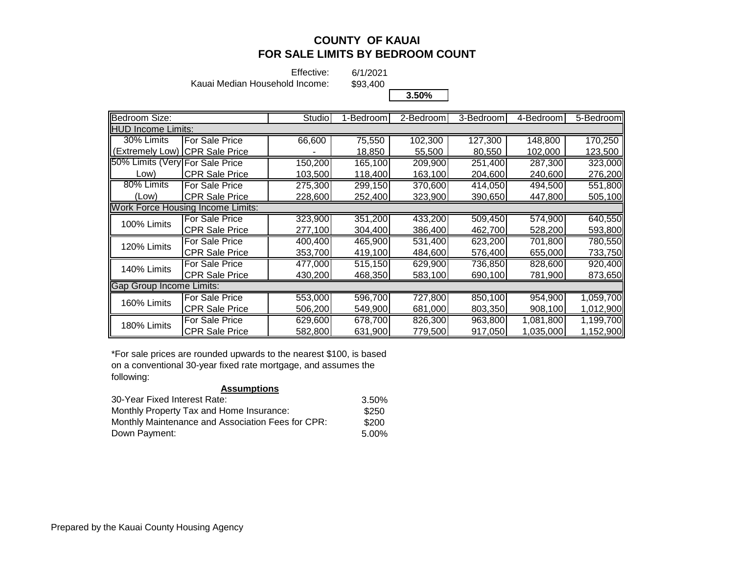Effective:

6/1/2021 \$93,400

Kauai Median Household Income:

**3.50%**

| Bedroom Size:                   |                                          | Studio  | 1-Bedroom | $2 - \text{Bedroom}$ | 3-Bedroom | 4-Bedroom | 5-Bedroom |
|---------------------------------|------------------------------------------|---------|-----------|----------------------|-----------|-----------|-----------|
| <b>HUD Income Limits:</b>       |                                          |         |           |                      |           |           |           |
| 30% Limits                      | For Sale Price                           | 66,600  | 75,550    | 102,300              | 127,300   | 148,800   | 170,250   |
| (Extremely Low)                 | <b>CPR Sale Price</b>                    |         | 18,850    | 55,500               | 80,550    | 102,000   | 123,500   |
| 50% Limits (Very For Sale Price |                                          | 150,200 | 165,100   | 209,900              | 251,400   | 287,300   | 323,000   |
| Low)                            | <b>CPR Sale Price</b>                    | 103,500 | 118,400   | 163,100              | 204,600   | 240,600   | 276,200   |
| 80% Limits                      | For Sale Price                           | 275,300 | 299,150   | 370,600              | 414,050   | 494,500   | 551,800   |
| (Low)                           | <b>CPR Sale Price</b>                    | 228,600 | 252,400   | 323,900              | 390,650   | 447,800   | 505,100   |
|                                 | <b>Work Force Housing Income Limits:</b> |         |           |                      |           |           |           |
| 100% Limits                     | <b>IFor Sale Price</b>                   | 323,900 | 351,200   | 433,200              | 509,450   | 574,900   | 640,550   |
|                                 | <b>CPR Sale Price</b>                    | 277,100 | 304,400   | 386,400              | 462,700   | 528,200   | 593,800   |
| 120% Limits                     | For Sale Price                           | 400,400 | 465,900   | 531,400              | 623,200   | 701,800   | 780,550   |
|                                 | <b>CPR Sale Price</b>                    | 353,700 | 419,100   | 484,600              | 576,400   | 655,000   | 733,750   |
| 140% Limits                     | For Sale Price                           | 477,000 | 515,150   | 629,900              | 736,850   | 828,600   | 920,400   |
|                                 | <b>CPR Sale Price</b>                    | 430,200 | 468,350   | 583,100              | 690,100   | 781,900   | 873,650   |
| Gap Group Income Limits:        |                                          |         |           |                      |           |           |           |
| 160% Limits                     | For Sale Price                           | 553,000 | 596,700   | 727,800              | 850,100   | 954,900   | 1,059,700 |
|                                 | <b>CPR Sale Price</b>                    | 506,200 | 549,900   | 681,000              | 803,350   | 908,100   | 1,012,900 |
| 180% Limits                     | For Sale Price                           | 629,600 | 678,700   | 826,300              | 963,800   | 1,081,800 | 1,199,700 |
|                                 | <b>CPR Sale Price</b>                    | 582,800 | 631,900   | 779,500              | 917,050   | 1,035,000 | 1,152,900 |

\*For sale prices are rounded upwards to the nearest \$100, is based on a conventional 30-year fixed rate mortgage, and assumes the following: **Assumptions**

| <b>ASSUMPTIONS</b>                                |       |
|---------------------------------------------------|-------|
| 30-Year Fixed Interest Rate:                      | 3.50% |
| Monthly Property Tax and Home Insurance:          | \$250 |
| Monthly Maintenance and Association Fees for CPR: | \$200 |
| Down Payment:                                     | 5.00% |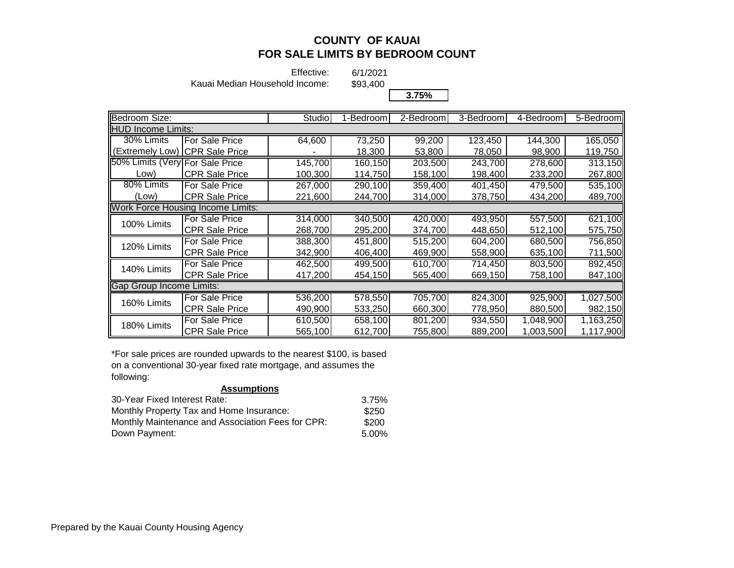Effective:

6/1/2021

Kauai Median Household Income:

\$93,400

**3.75%**

| Bedroom Size:                   |                                          | Studio  | 1-Bedroom | $2$ -Bedroom | 3-Bedroom | 4-Bedroom | 5-Bedroom |
|---------------------------------|------------------------------------------|---------|-----------|--------------|-----------|-----------|-----------|
| <b>HUD Income Limits:</b>       |                                          |         |           |              |           |           |           |
| 30% Limits                      | For Sale Price                           | 64,600  | 73,250    | 99,200       | 123,450   | 144,300   | 165,050   |
| (Extremelv Low)                 | <b>CPR Sale Price</b>                    |         | 18,300    | 53,800       | 78,050    | 98,900    | 119,750   |
| 50% Limits (Very For Sale Price |                                          | 145,700 | 160,150   | 203,500      | 243,700   | 278,600   | 313,150   |
| _ow)                            | <b>CPR Sale Price</b>                    | 100,300 | 114,750   | 158,100      | 198,400   | 233,200   | 267,800   |
| 80% Limits                      | For Sale Price                           | 267,000 | 290,100   | 359,400      | 401,450   | 479,500   | 535,100   |
| (Low)                           | <b>CPR Sale Price</b>                    | 221,600 | 244,700   | 314,000      | 378,750   | 434,200   | 489,700   |
|                                 | <b>Work Force Housing Income Limits:</b> |         |           |              |           |           |           |
| 100% Limits                     | For Sale Price                           | 314,000 | 340,500   | 420,000      | 493,950   | 557,500   | 621,100   |
|                                 | <b>CPR Sale Price</b>                    | 268,700 | 295,200   | 374,700      | 448,650   | 512,100   | 575,750   |
| 120% Limits                     | For Sale Price                           | 388,300 | 451,800   | 515,200      | 604,200   | 680,500   | 756,850   |
|                                 | CPR Sale Price                           | 342,900 | 406,400   | 469,900      | 558,900   | 635,100   | 711,500   |
| 140% Limits                     | For Sale Price                           | 462,500 | 499,500   | 610,700      | 714,450   | 803,500   | 892,450   |
|                                 | <b>CPR Sale Price</b>                    | 417,200 | 454,150   | 565,400      | 669,150   | 758,100   | 847,100   |
| <b>Gap Group Income Limits:</b> |                                          |         |           |              |           |           |           |
| 160% Limits                     | For Sale Price                           | 536,200 | 578,550   | 705,700      | 824,300   | 925,900   | 1,027,500 |
|                                 | <b>CPR Sale Price</b>                    | 490,900 | 533,250   | 660,300      | 778,950   | 880,500   | 982,150   |
| 180% Limits                     | For Sale Price                           | 610,500 | 658,100   | 801,200      | 934,550   | 1,048,900 | 1,163,250 |
|                                 | CPR Sale Price                           | 565,100 | 612,700   | 755,800      | 889,200   | 1,003,500 | 1,117,900 |

\*For sale prices are rounded upwards to the nearest \$100, is based on a conventional 30-year fixed rate mortgage, and assumes the following: **Assumptions**

| <b>ASSUMPTIONS</b>                                |       |
|---------------------------------------------------|-------|
| 30-Year Fixed Interest Rate:                      | 3.75% |
| Monthly Property Tax and Home Insurance:          | \$250 |
| Monthly Maintenance and Association Fees for CPR: | \$200 |
| Down Payment:                                     | 5.00% |